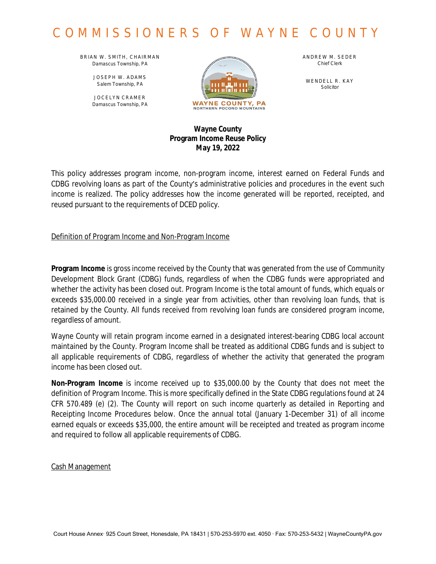BRIAN W. SMITH, CHAIRMAN *Damascus Township, PA*

> JOSEPH W. ADAMS *Salem Township, PA*

JOCELYN CRAMER *Damascus Township, PA*



ANDREW M. SEDER *Chief Clerk*

WENDELL R. KAY *Solicitor*

### **Wayne County Program Income Reuse Policy May 19, 2022**

This policy addresses program income, non-program income, interest earned on Federal Funds and CDBG revolving loans as part of the County's administrative policies and procedures in the event such income is realized. The policy addresses how the income generated will be reported, receipted, and reused pursuant to the requirements of DCED policy.

Definition of Program Income and Non-Program Income

**Program Income** is gross income received by the County that was generated from the use of Community Development Block Grant (CDBG) funds, regardless of when the CDBG funds were appropriated and whether the activity has been closed out. Program Income is the total amount of funds, which equals or exceeds \$35,000.00 received in a single year from activities, other than revolving loan funds, that is retained by the County. All funds received from revolving loan funds are considered program income, regardless of amount.

Wayne County will retain program income earned in a designated interest-bearing CDBG local account maintained by the County. Program Income shall be treated as additional CDBG funds and is subject to all applicable requirements of CDBG, regardless of whether the activity that generated the program income has been closed out.

**Non-Program Income** is income received up to \$35,000.00 by the County that does not meet the definition of Program Income. This is more specifically defined in the State CDBG regulations found at 24 CFR 570.489 (e) (2). The County will report on such income quarterly as detailed in Reporting and Receipting Income Procedures below. Once the annual total (January 1-December 31) of all income earned equals or exceeds \$35,000, the entire amount will be receipted and treated as program income and required to follow all applicable requirements of CDBG.

Cash Management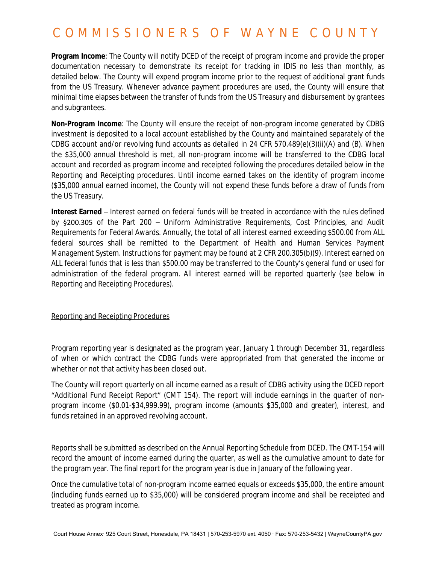**Program Income**: The County will notify DCED of the receipt of program income and provide the proper documentation necessary to demonstrate its receipt for tracking in IDIS no less than monthly, as detailed below. The County will expend program income prior to the request of additional grant funds from the US Treasury. Whenever advance payment procedures are used, the County will ensure that minimal time elapses between the transfer of funds from the US Treasury and disbursement by grantees and subgrantees.

**Non-Program Income**: The County will ensure the receipt of non-program income generated by CDBG investment is deposited to a local account established by the County and maintained separately of the CDBG account and/or revolving fund accounts as detailed in 24 CFR 570.489(e)(3)(ii)(A) and (B). When the \$35,000 annual threshold is met, all non-program income will be transferred to the CDBG local account and recorded as program income and receipted following the procedures detailed below in the Reporting and Receipting procedures. Until income earned takes on the identity of program income (\$35,000 annual earned income), the County will not expend these funds before a draw of funds from the US Treasury.

**Interest Earned** – Interest earned on federal funds will be treated in accordance with the rules defined by §200.305 of the Part 200 – Uniform Administrative Requirements, Cost Principles, and Audit Requirements for Federal Awards. Annually, the total of all interest earned exceeding \$500.00 from ALL federal sources shall be remitted to the Department of Health and Human Services Payment Management System. Instructions for payment may be found at 2 CFR 200.305(b)(9). Interest earned on ALL federal funds that is less than \$500.00 may be transferred to the County's general fund or used for administration of the federal program. All interest earned will be reported quarterly (see below in Reporting and Receipting Procedures).

#### Reporting and Receipting Procedures

Program reporting year is designated as the program year, January 1 through December 31, regardless of when or which contract the CDBG funds were appropriated from that generated the income or whether or not that activity has been closed out.

The County will report quarterly on all income earned as a result of CDBG activity using the DCED report "Additional Fund Receipt Report" (CMT 154). The report will include earnings in the quarter of nonprogram income (\$0.01-\$34,999.99), program income (amounts \$35,000 and greater), interest, and funds retained in an approved revolving account.

Reports shall be submitted as described on the Annual Reporting Schedule from DCED. The CMT-154 will record the amount of income earned during the quarter, as well as the cumulative amount to date for the program year. The final report for the program year is due in January of the following year.

Once the cumulative total of non-program income earned equals or exceeds \$35,000, the entire amount (including funds earned up to \$35,000) will be considered program income and shall be receipted and treated as program income.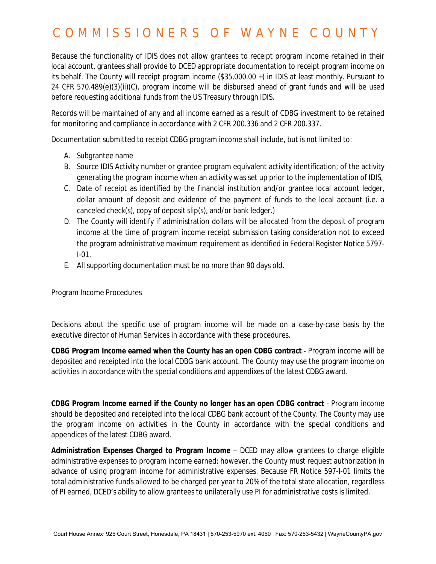Because the functionality of IDIS does not allow grantees to receipt program income retained in their local account, grantees shall provide to DCED appropriate documentation to receipt program income on its behalf. The County will receipt program income (\$35,000.00 +) in IDIS at least monthly. Pursuant to 24 CFR 570.489(e)(3)(ii)(C), program income will be disbursed ahead of grant funds and will be used before requesting additional funds from the US Treasury through IDIS.

Records will be maintained of any and all income earned as a result of CDBG investment to be retained for monitoring and compliance in accordance with 2 CFR 200.336 and 2 CFR 200.337.

Documentation submitted to receipt CDBG program income shall include, but is not limited to:

- A. Subgrantee name
- B. Source IDIS Activity number or grantee program equivalent activity identification; of the activity generating the program income when an activity was set up prior to the implementation of IDIS,
- C. Date of receipt as identified by the financial institution and/or grantee local account ledger, dollar amount of deposit and evidence of the payment of funds to the local account (i.e. a canceled check(s), copy of deposit slip(s), and/or bank ledger.)
- D. The County will identify if administration dollars will be allocated from the deposit of program income at the time of program income receipt submission taking consideration not to exceed the program administrative maximum requirement as identified in Federal Register Notice 5797- I-01.
- E. All supporting documentation must be no more than 90 days old.

#### Program Income Procedures

Decisions about the specific use of program income will be made on a case-by-case basis by the executive director of Human Services in accordance with these procedures.

**CDBG Program Income earned when the County has an open CDBG contract** - Program income will be deposited and receipted into the local CDBG bank account. The County may use the program income on activities in accordance with the special conditions and appendixes of the latest CDBG award.

**CDBG Program Income earned if the County no longer has an open CDBG contract** - Program income should be deposited and receipted into the local CDBG bank account of the County. The County may use the program income on activities in the County in accordance with the special conditions and appendices of the latest CDBG award.

**Administration Expenses Charged to Program Income** – DCED may allow grantees to charge eligible administrative expenses to program income earned; however, the County must request authorization in advance of using program income for administrative expenses. Because FR Notice 597-I-01 limits the total administrative funds allowed to be charged per year to 20% of the total state allocation, regardless of PI earned, DCED's ability to allow grantees to unilaterally use PI for administrative costs is limited.